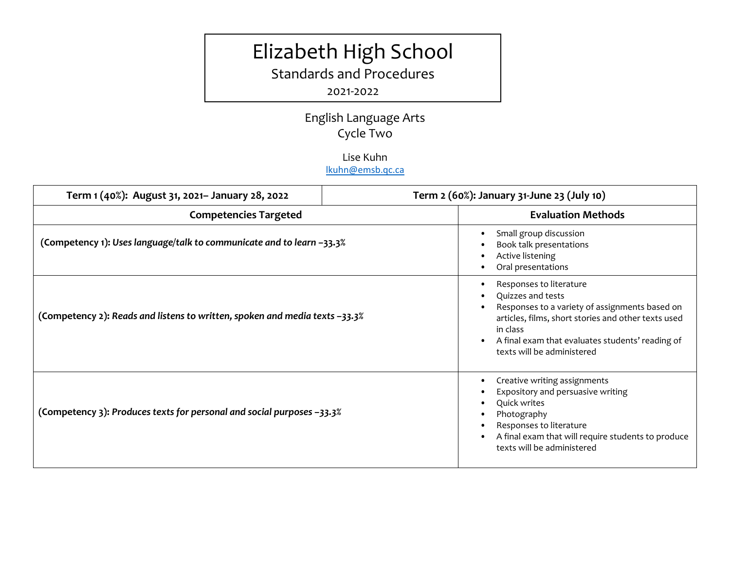# Elizabeth High School

Standards and Procedures

# 2021-2022

English Language Arts Cycle Two

## Lise Kuhn [lkuhn@emsb.qc.ca](mailto:lkuhn@emsb.qc.ca)

| Term 1 (40%): August 31, 2021- January 28, 2022                             | Term 2 (60%): January 31-June 23 (July 10)                                                                                                                                                                                                          |
|-----------------------------------------------------------------------------|-----------------------------------------------------------------------------------------------------------------------------------------------------------------------------------------------------------------------------------------------------|
| <b>Competencies Targeted</b>                                                | <b>Evaluation Methods</b>                                                                                                                                                                                                                           |
| (Competency 1): Uses language/talk to communicate and to learn -33.3%       | Small group discussion<br>Book talk presentations<br>Active listening<br>Oral presentations                                                                                                                                                         |
| (Competency 2): Reads and listens to written, spoken and media texts –33.3% | Responses to literature<br>Quizzes and tests<br>Responses to a variety of assignments based on<br>articles, films, short stories and other texts used<br>in class<br>A final exam that evaluates students' reading of<br>texts will be administered |
| (Competency 3): Produces texts for personal and social purposes –33.3%      | Creative writing assignments<br>Expository and persuasive writing<br>Quick writes<br>Photography<br>Responses to literature<br>A final exam that will require students to produce<br>texts will be administered                                     |